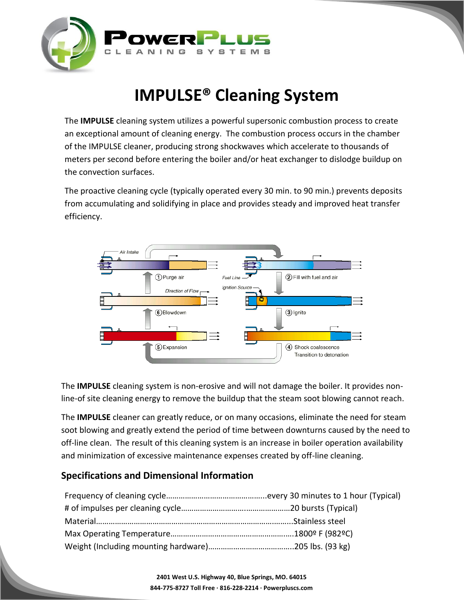

# **IMPULSE® Cleaning System**

The **IMPULSE** cleaning system utilizes a powerful supersonic combustion process to create an exceptional amount of cleaning energy. The combustion process occurs in the chamber of the IMPULSE cleaner, producing strong shockwaves which accelerate to thousands of meters per second before entering the boiler and/or heat exchanger to dislodge buildup on the convection surfaces.

The proactive cleaning cycle (typically operated every 30 min. to 90 min.) prevents deposits from accumulating and solidifying in place and provides steady and improved heat transfer efficiency.



The **IMPULSE** cleaning system is non-erosive and will not damage the boiler. It provides nonline-of site cleaning energy to remove the buildup that the steam soot blowing cannot reach.

The **IMPULSE** cleaner can greatly reduce, or on many occasions, eliminate the need for steam soot blowing and greatly extend the period of time between downturns caused by the need to off-line clean. The result of this cleaning system is an increase in boiler operation availability and minimization of excessive maintenance expenses created by off-line cleaning.

#### **Specifications and Dimensional Information**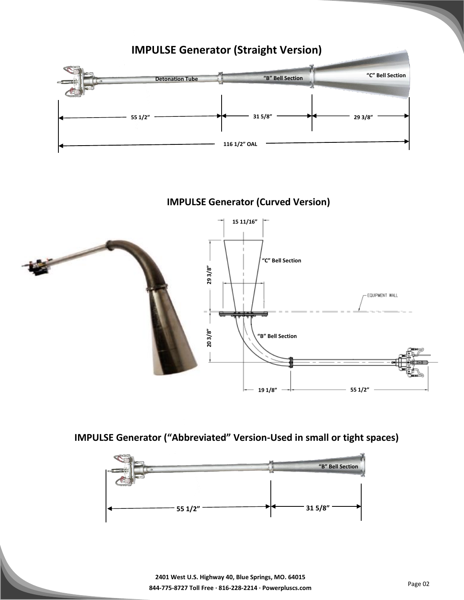

## **IMPULSE Generator (Curved Version)**



**IMPULSE Generator ("Abbreviated" Version-Used in small or tight spaces)** 

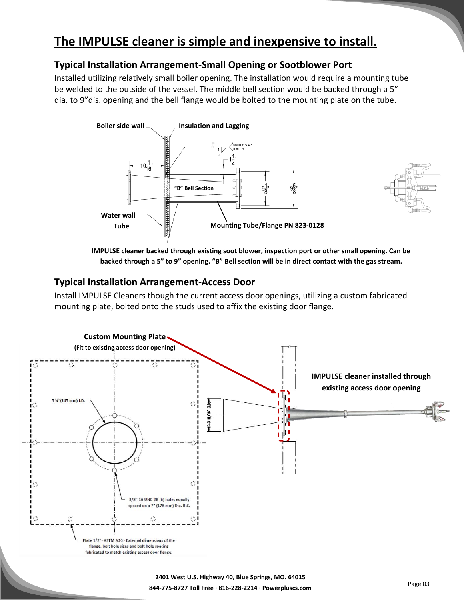# **The IMPULSE cleaner is simple and inexpensive to install.**

#### **Typical Installation Arrangement-Small Opening or Sootblower Port**

Installed utilizing relatively small boiler opening. The installation would require a mounting tube be welded to the outside of the vessel. The middle bell section would be backed through a 5" dia. to 9"dis. opening and the bell flange would be bolted to the mounting plate on the tube.



**IMPULSE cleaner backed through existing soot blower, inspection port or other small opening. Can be backed through a 5" to 9" opening. "B" Bell section will be in direct contact with the gas stream.**

#### **Typical Installation Arrangement-Access Door**

Install IMPULSE Cleaners though the current access door openings, utilizing a custom fabricated mounting plate, bolted onto the studs used to affix the existing door flange.